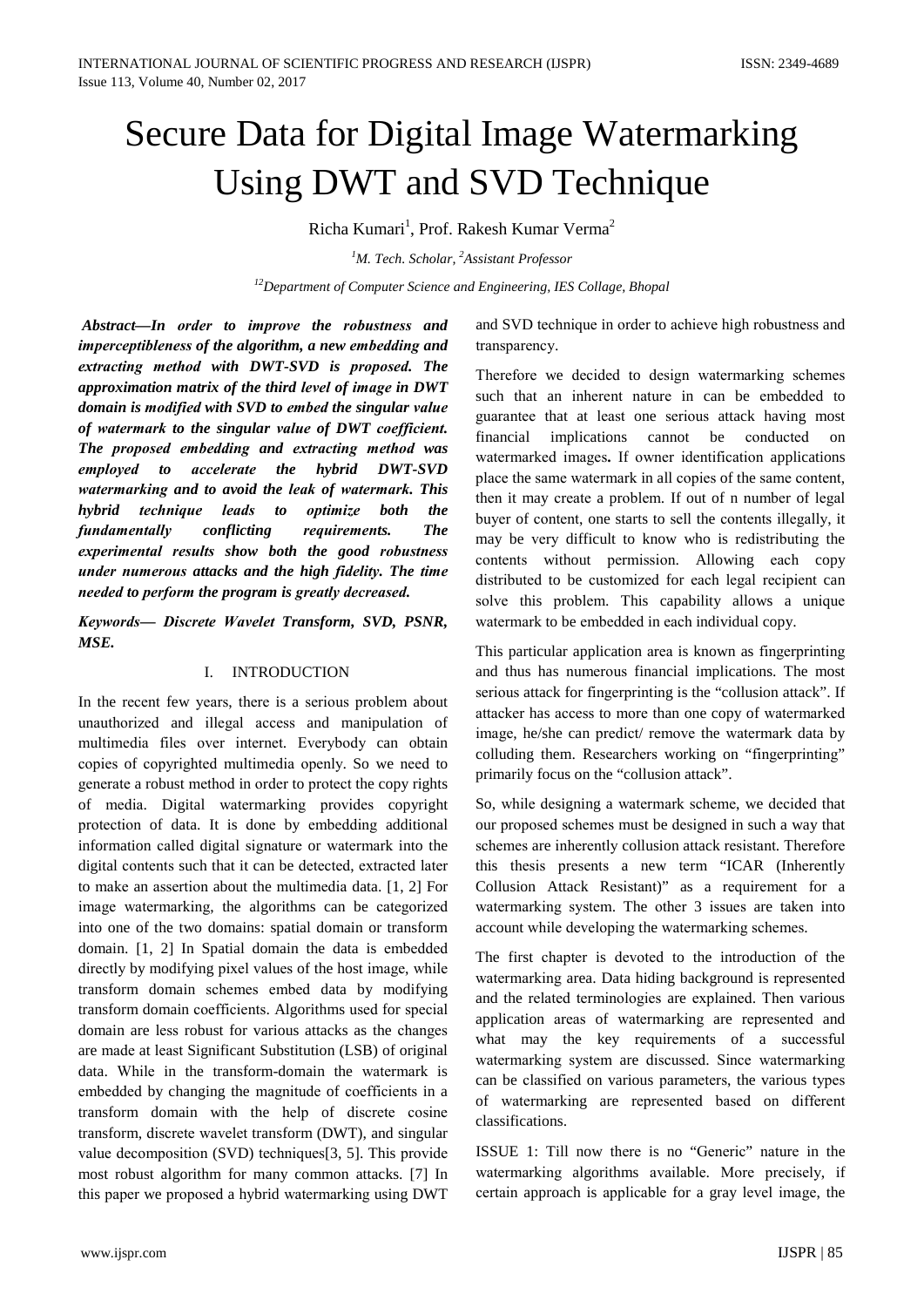# Secure Data for Digital Image Watermarking Using DWT and SVD Technique

Richa Kumari<sup>1</sup>, Prof. Rakesh Kumar Verma<sup>2</sup>

<sup>1</sup>M. Tech. Scholar, <sup>2</sup>Assistant Professor

<sup>12</sup>Department of Computer Science and Engineering, IES Collage, Bhopal

Abstract-In order to improve the robustness and imperceptibleness of the algorithm, a new embedding and extracting method with DWT-SVD is proposed. The approximation matrix of the third level of image in DWT domain is modified with SVD to embed the singular value of watermark to the singular value of DWT coefficient. The proposed embedding and extracting method was employed to accelerate the hybrid DWT-SVD watermarking and to avoid the leak of watermark. This hybrid technique leads to optimize **both** the **The** fundamentally conflicting requirements. experimental results show both the good robustness under numerous attacks and the high fidelity. The time needed to perform the program is greatly decreased.

Keywords- Discrete Wavelet Transform, SVD, PSNR,  $MSE$ 

## I. INTRODUCTION

In the recent few years, there is a serious problem about unauthorized and illegal access and manipulation of multimedia files over internet. Everybody can obtain copies of copyrighted multimedia openly. So we need to generate a robust method in order to protect the copy rights of media. Digital watermarking provides copyright protection of data. It is done by embedding additional information called digital signature or watermark into the digital contents such that it can be detected, extracted later to make an assertion about the multimedia data. [1, 2] For image watermarking, the algorithms can be categorized into one of the two domains: spatial domain or transform domain. [1, 2] In Spatial domain the data is embedded directly by modifying pixel values of the host image, while transform domain schemes embed data by modifying transform domain coefficients. Algorithms used for special domain are less robust for various attacks as the changes are made at least Significant Substitution (LSB) of original data. While in the transform-domain the watermark is embedded by changing the magnitude of coefficients in a transform domain with the help of discrete cosine transform, discrete wavelet transform (DWT), and singular value decomposition (SVD) techniques [3, 5]. This provide most robust algorithm for many common attacks. [7] In this paper we proposed a hybrid watermarking using DWT and SVD technique in order to achieve high robustness and transparency.

Therefore we decided to design watermarking schemes such that an inherent nature in can be embedded to guarantee that at least one serious attack having most implications cannot be conducted financial on watermarked images. If owner identification applications place the same watermark in all copies of the same content, then it may create a problem. If out of n number of legal buyer of content, one starts to sell the contents illegally, it may be very difficult to know who is redistributing the contents without permission. Allowing each copy distributed to be customized for each legal recipient can solve this problem. This capability allows a unique watermark to be embedded in each individual copy.

This particular application area is known as fingerprinting and thus has numerous financial implications. The most serious attack for fingerprinting is the "collusion attack". If attacker has access to more than one copy of watermarked image, he/she can predict/ remove the watermark data by colluding them. Researchers working on "fingerprinting" primarily focus on the "collusion attack".

So, while designing a watermark scheme, we decided that our proposed schemes must be designed in such a way that schemes are inherently collusion attack resistant. Therefore this thesis presents a new term "ICAR (Inherently Collusion Attack Resistant)" as a requirement for a watermarking system. The other 3 issues are taken into account while developing the watermarking schemes.

The first chapter is devoted to the introduction of the watermarking area. Data hiding background is represented and the related terminologies are explained. Then various application areas of watermarking are represented and what may the key requirements of a successful watermarking system are discussed. Since watermarking can be classified on various parameters, the various types of watermarking are represented based on different classifications.

ISSUE 1: Till now there is no "Generic" nature in the watermarking algorithms available. More precisely, if certain approach is applicable for a gray level image, the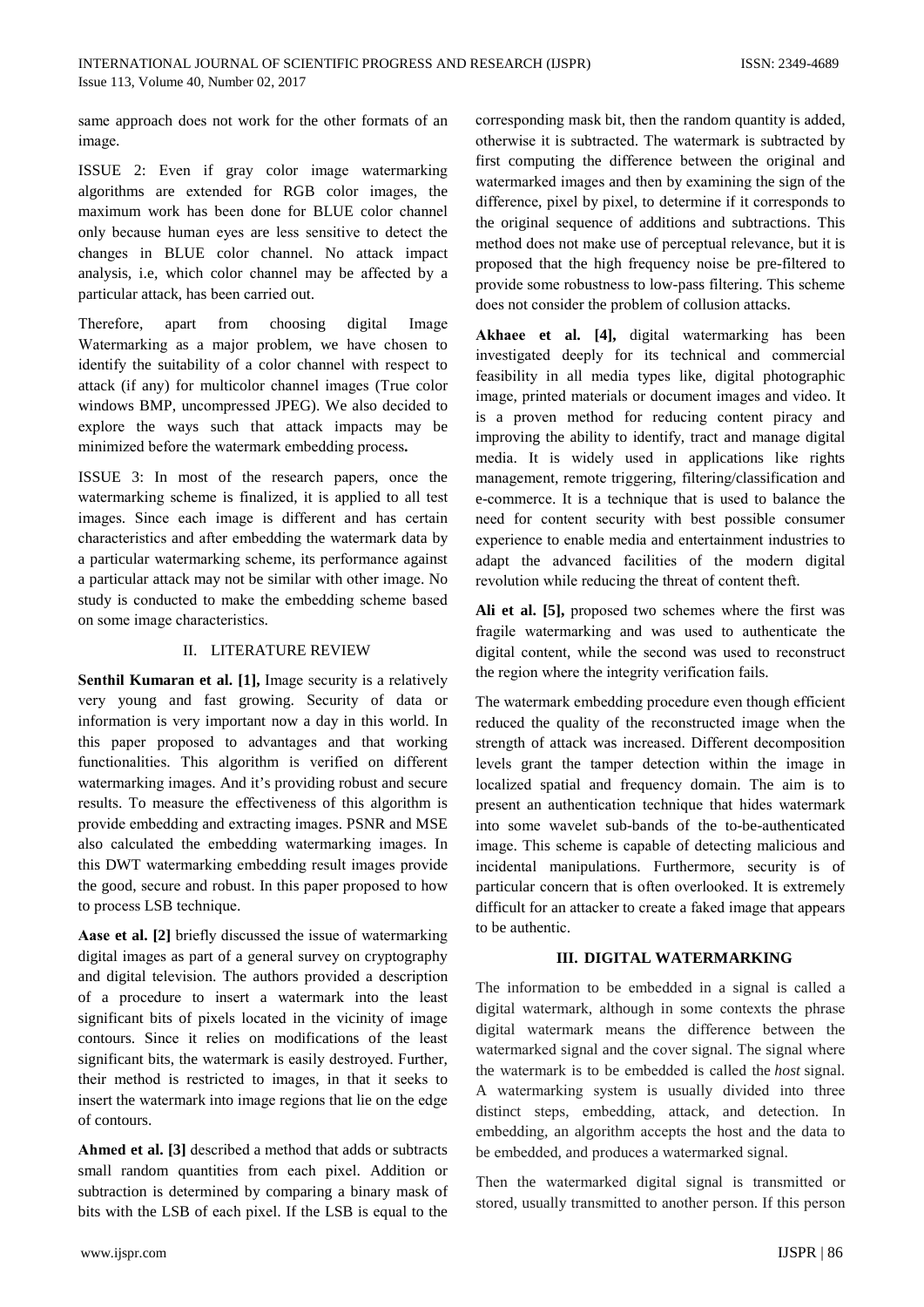same approach does not work for the other formats of an image.

ISSUE 2: Even if gray color image watermarking algorithms are extended for RGB color images, the maximum work has been done for BLUE color channel only because human eves are less sensitive to detect the changes in BLUE color channel. No attack impact analysis, i.e. which color channel may be affected by a particular attack, has been carried out.

Therefore. apart from choosing digital Image Watermarking as a major problem, we have chosen to identify the suitability of a color channel with respect to attack (if any) for multicolor channel images (True color windows BMP, uncompressed JPEG). We also decided to explore the ways such that attack impacts may be minimized before the watermark embedding process.

ISSUE 3: In most of the research papers, once the watermarking scheme is finalized, it is applied to all test images. Since each image is different and has certain characteristics and after embedding the watermark data by a particular watermarking scheme, its performance against a particular attack may not be similar with other image. No study is conducted to make the embedding scheme based on some image characteristics.

## II. LITERATURE REVIEW

Senthil Kumaran et al. [1], Image security is a relatively very young and fast growing. Security of data or information is very important now a day in this world. In this paper proposed to advantages and that working functionalities. This algorithm is verified on different watermarking images. And it's providing robust and secure results. To measure the effectiveness of this algorithm is provide embedding and extracting images. PSNR and MSE also calculated the embedding watermarking images. In this DWT watermarking embedding result images provide the good, secure and robust. In this paper proposed to how to process LSB technique.

Aase et al. [2] briefly discussed the issue of watermarking digital images as part of a general survey on cryptography and digital television. The authors provided a description of a procedure to insert a watermark into the least significant bits of pixels located in the vicinity of image contours. Since it relies on modifications of the least significant bits, the watermark is easily destroyed. Further, their method is restricted to images, in that it seeks to insert the watermark into image regions that lie on the edge of contours.

**Ahmed et al. [3]** described a method that adds or subtracts small random quantities from each pixel. Addition or subtraction is determined by comparing a binary mask of bits with the LSB of each pixel. If the LSB is equal to the

corresponding mask bit, then the random quantity is added, otherwise it is subtracted. The watermark is subtracted by first computing the difference between the original and watermarked images and then by examining the sign of the difference, pixel by pixel, to determine if it corresponds to the original sequence of additions and subtractions. This method does not make use of perceptual relevance, but it is proposed that the high frequency noise be pre-filtered to provide some robustness to low-pass filtering. This scheme does not consider the problem of collusion attacks.

Akhaee et al. [4], digital watermarking has been investigated deeply for its technical and commercial feasibility in all media types like, digital photographic image, printed materials or document images and video. It is a proven method for reducing content piracy and improving the ability to identify, tract and manage digital media. It is widely used in applications like rights management, remote triggering, filtering/classification and e-commerce. It is a technique that is used to balance the need for content security with best possible consumer experience to enable media and entertainment industries to adapt the advanced facilities of the modern digital revolution while reducing the threat of content theft.

Ali et al. [5], proposed two schemes where the first was fragile watermarking and was used to authenticate the digital content, while the second was used to reconstruct the region where the integrity verification fails.

The watermark embedding procedure even though efficient reduced the quality of the reconstructed image when the strength of attack was increased. Different decomposition levels grant the tamper detection within the image in localized spatial and frequency domain. The aim is to present an authentication technique that hides watermark into some wavelet sub-bands of the to-be-authenticated image. This scheme is capable of detecting malicious and incidental manipulations. Furthermore, security is of particular concern that is often overlooked. It is extremely difficult for an attacker to create a faked image that appears to be authentic.

## **III. DIGITAL WATERMARKING**

The information to be embedded in a signal is called a digital watermark, although in some contexts the phrase digital watermark means the difference between the watermarked signal and the cover signal. The signal where the watermark is to be embedded is called the *host* signal. A watermarking system is usually divided into three distinct steps, embedding, attack, and detection. In embedding, an algorithm accepts the host and the data to be embedded, and produces a watermarked signal.

Then the watermarked digital signal is transmitted or stored, usually transmitted to another person. If this person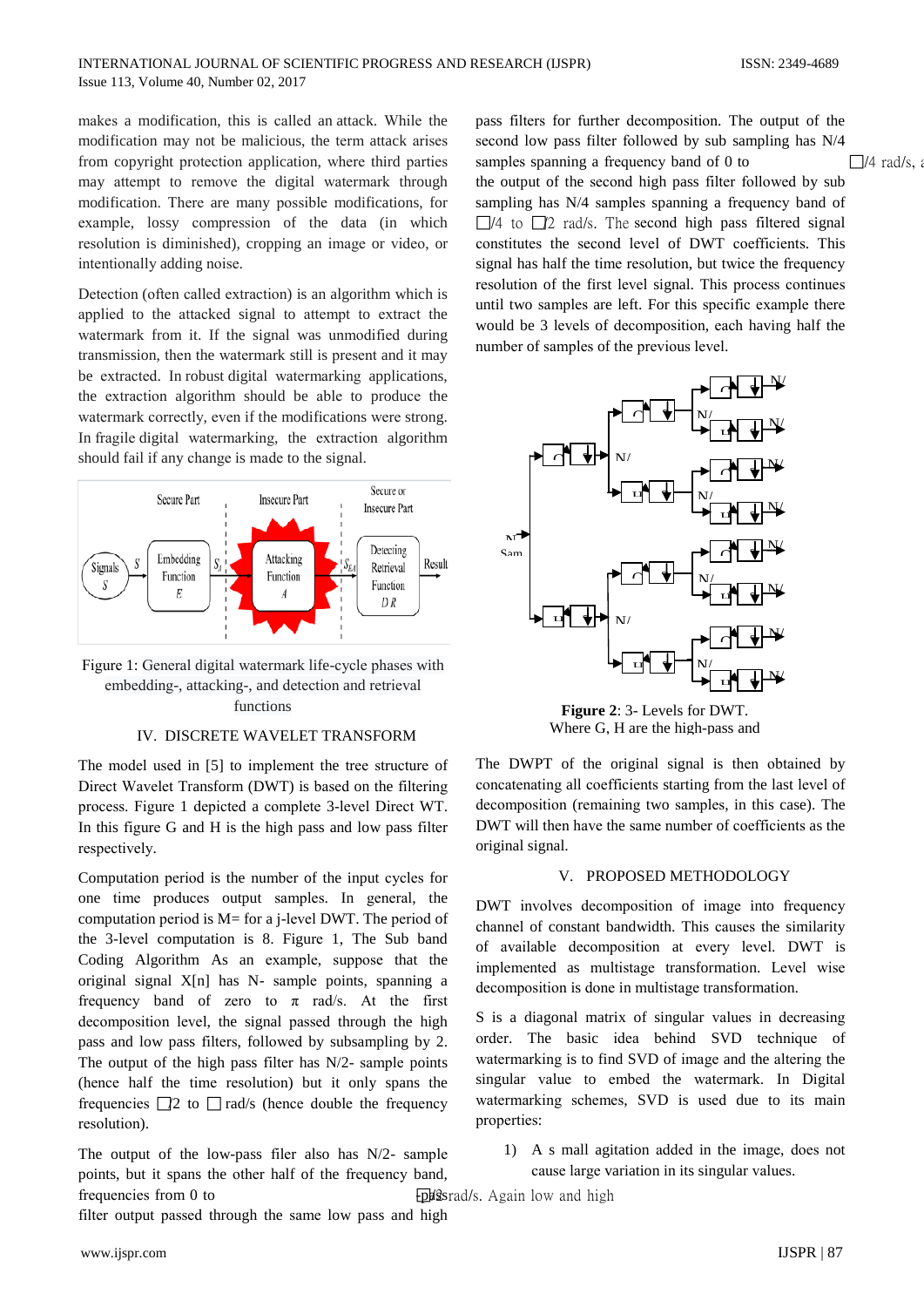makes a modification, this is called an attack. While the modification may not be malicious, the term attack arises from copyright protection application, where third parties may attempt to remove the digital watermark through modification. There are many possible modifications, for example, lossy compression of the data (in which resolution is diminished), cropping an image or video, or intentionally adding noise.

Detection (often called extraction) is an algorithm which is applied to the attacked signal to attempt to extract the watermark from it. If the signal was unmodified during transmission, then the watermark still is present and it may be extracted. In robust digital watermarking applications, the extraction algorithm should be able to produce the watermark correctly, even if the modifications were strong. In fragile digital watermarking, the extraction algorithm should fail if any change is made to the signal.



Figure 1: General digital watermark life-cycle phases with embedding-, attacking-, and detection and retrieval functions

### IV. DISCRETE WAVELET TRANSFORM

The model used in [5] to implement the tree structure of Direct Wavelet Transform (DWT) is based on the filtering process. Figure 1 depicted a complete 3-level Direct WT. In this figure G and H is the high pass and low pass filter respectively.

Computation period is the number of the input cycles for one time produces output samples. In general, the computation period is  $M$  = for a j-level DWT. The period of the 3-level computation is 8. Figure 1, The Sub band Coding Algorithm As an example, suppose that the original signal X[n] has N- sample points, spanning a frequency band of zero to  $\pi$  rad/s. At the first decomposition level, the signal passed through the high pass and low pass filters, followed by subsampling by 2. The output of the high pass filter has  $N/2$ - sample points (hence half the time resolution) but it only spans the frequencies  $\square$  to  $\square$  rad/s (hence double the frequency resolution).

The output of the low-pass filer also has  $N/2$ - sample points, but it spans the other half of the frequency band, frequencies from 0 to

filter output passed through the same low pass and high

pass filters for further decomposition. The output of the second low pass filter followed by sub sampling has N/4 samples spanning a frequency band of 0 to  $\Box$ /4 rad/s, the output of the second high pass filter followed by sub sampling has N/4 samples spanning a frequency band of  $\Box$ /4 to  $\Box$ /2 rad/s. The second high pass filtered signal constitutes the second level of DWT coefficients. This signal has half the time resolution, but twice the frequency resolution of the first level signal. This process continues until two samples are left. For this specific example there would be 3 levels of decomposition, each having half the number of samples of the previous level.



Figure 2: 3- Levels for DWT. Where G. H are the high-pass and

The DWPT of the original signal is then obtained by concatenating all coefficients starting from the last level of decomposition (remaining two samples, in this case). The DWT will then have the same number of coefficients as the original signal.

#### V. PROPOSED METHODOLOGY

DWT involves decomposition of image into frequency channel of constant bandwidth. This causes the similarity of available decomposition at every level. DWT is implemented as multistage transformation. Level wise decomposition is done in multistage transformation.

S is a diagonal matrix of singular values in decreasing order. The basic idea behind SVD technique of watermarking is to find SVD of image and the altering the singular value to embed the watermark. In Digital watermarking schemes, SVD is used due to its main properties:

1) A s mall agitation added in the image, does not cause large variation in its singular values.

**Epd**2srad/s. Again low and high

www.ijspr.com